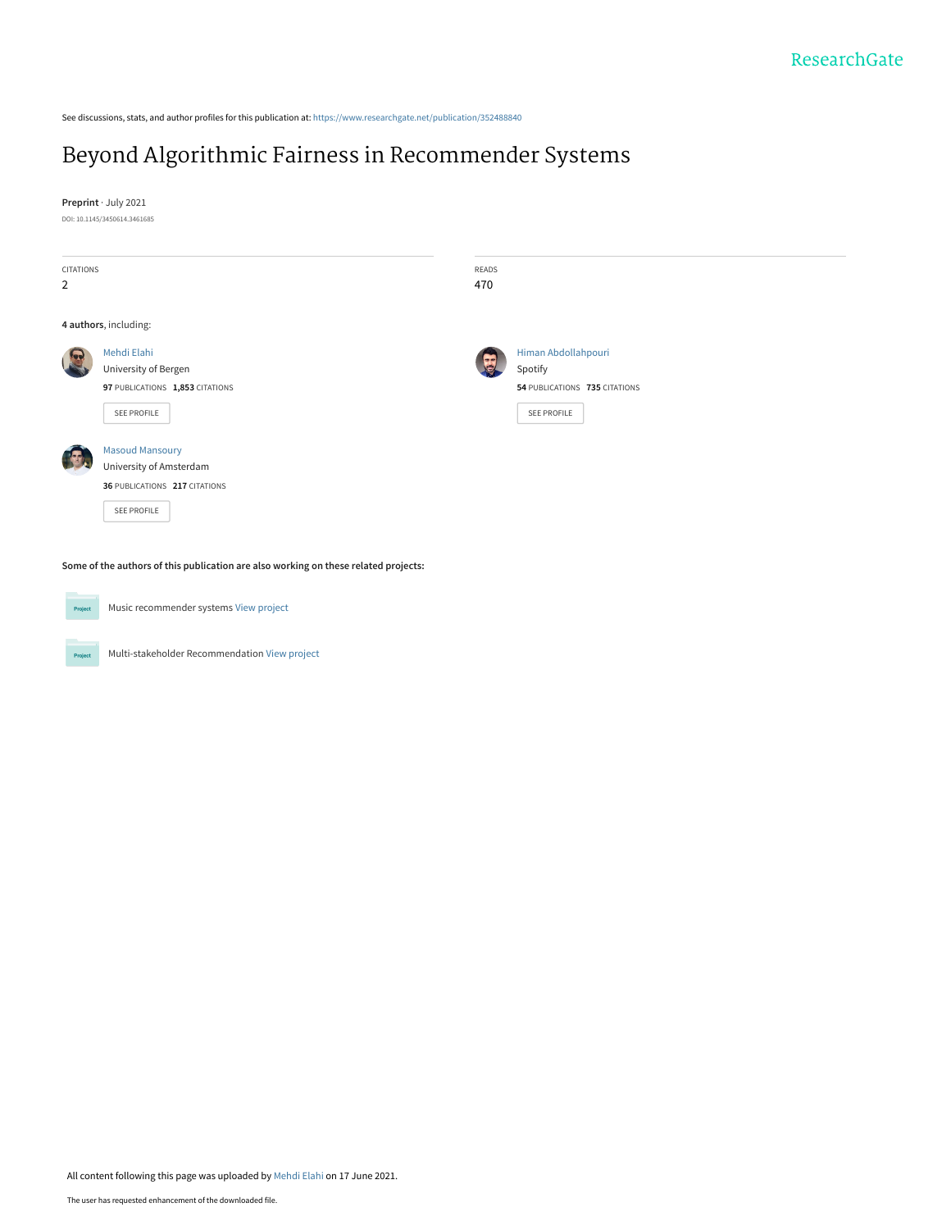See discussions, stats, and author profiles for this publication at: [https://www.researchgate.net/publication/352488840](https://www.researchgate.net/publication/352488840_Beyond_Algorithmic_Fairness_in_Recommender_Systems?enrichId=rgreq-5518306d5ad8c528b83869de1ab281c5-XXX&enrichSource=Y292ZXJQYWdlOzM1MjQ4ODg0MDtBUzoxMDM1NzI2MTMzMTYxOTg0QDE2MjM5NDc3NjE2NTQ%3D&el=1_x_2&_esc=publicationCoverPdf)

# [Beyond Algorithmic Fairness in Recommender Systems](https://www.researchgate.net/publication/352488840_Beyond_Algorithmic_Fairness_in_Recommender_Systems?enrichId=rgreq-5518306d5ad8c528b83869de1ab281c5-XXX&enrichSource=Y292ZXJQYWdlOzM1MjQ4ODg0MDtBUzoxMDM1NzI2MTMzMTYxOTg0QDE2MjM5NDc3NjE2NTQ%3D&el=1_x_3&_esc=publicationCoverPdf)

**Preprint** · July 2021

DOI: 10.1145/3450614.3461685

| CITATIONS<br>$\overline{2}$ |                                                                                                   | READS<br>470 |                                              |  |  |  |
|-----------------------------|---------------------------------------------------------------------------------------------------|--------------|----------------------------------------------|--|--|--|
|                             | 4 authors, including:                                                                             |              |                                              |  |  |  |
|                             | Mehdi Elahi<br>University of Bergen                                                               |              | Himan Abdollahpouri<br>Spotify               |  |  |  |
|                             | 97 PUBLICATIONS 1,853 CITATIONS<br>SEE PROFILE                                                    |              | 54 PUBLICATIONS 735 CITATIONS<br>SEE PROFILE |  |  |  |
|                             | <b>Masoud Mansoury</b><br>University of Amsterdam<br>36 PUBLICATIONS 217 CITATIONS<br>SEE PROFILE |              |                                              |  |  |  |

**Some of the authors of this publication are also working on these related projects:**



Music recommender systems [View project](https://www.researchgate.net/project/Music-recommender-systems?enrichId=rgreq-5518306d5ad8c528b83869de1ab281c5-XXX&enrichSource=Y292ZXJQYWdlOzM1MjQ4ODg0MDtBUzoxMDM1NzI2MTMzMTYxOTg0QDE2MjM5NDc3NjE2NTQ%3D&el=1_x_9&_esc=publicationCoverPdf)

Multi-stakeholder Recommendation [View project](https://www.researchgate.net/project/Multi-stakeholder-Recommendation?enrichId=rgreq-5518306d5ad8c528b83869de1ab281c5-XXX&enrichSource=Y292ZXJQYWdlOzM1MjQ4ODg0MDtBUzoxMDM1NzI2MTMzMTYxOTg0QDE2MjM5NDc3NjE2NTQ%3D&el=1_x_9&_esc=publicationCoverPdf) Project

All content following this page was uploaded by [Mehdi Elahi](https://www.researchgate.net/profile/Mehdi-Elahi-2?enrichId=rgreq-5518306d5ad8c528b83869de1ab281c5-XXX&enrichSource=Y292ZXJQYWdlOzM1MjQ4ODg0MDtBUzoxMDM1NzI2MTMzMTYxOTg0QDE2MjM5NDc3NjE2NTQ%3D&el=1_x_10&_esc=publicationCoverPdf) on 17 June 2021.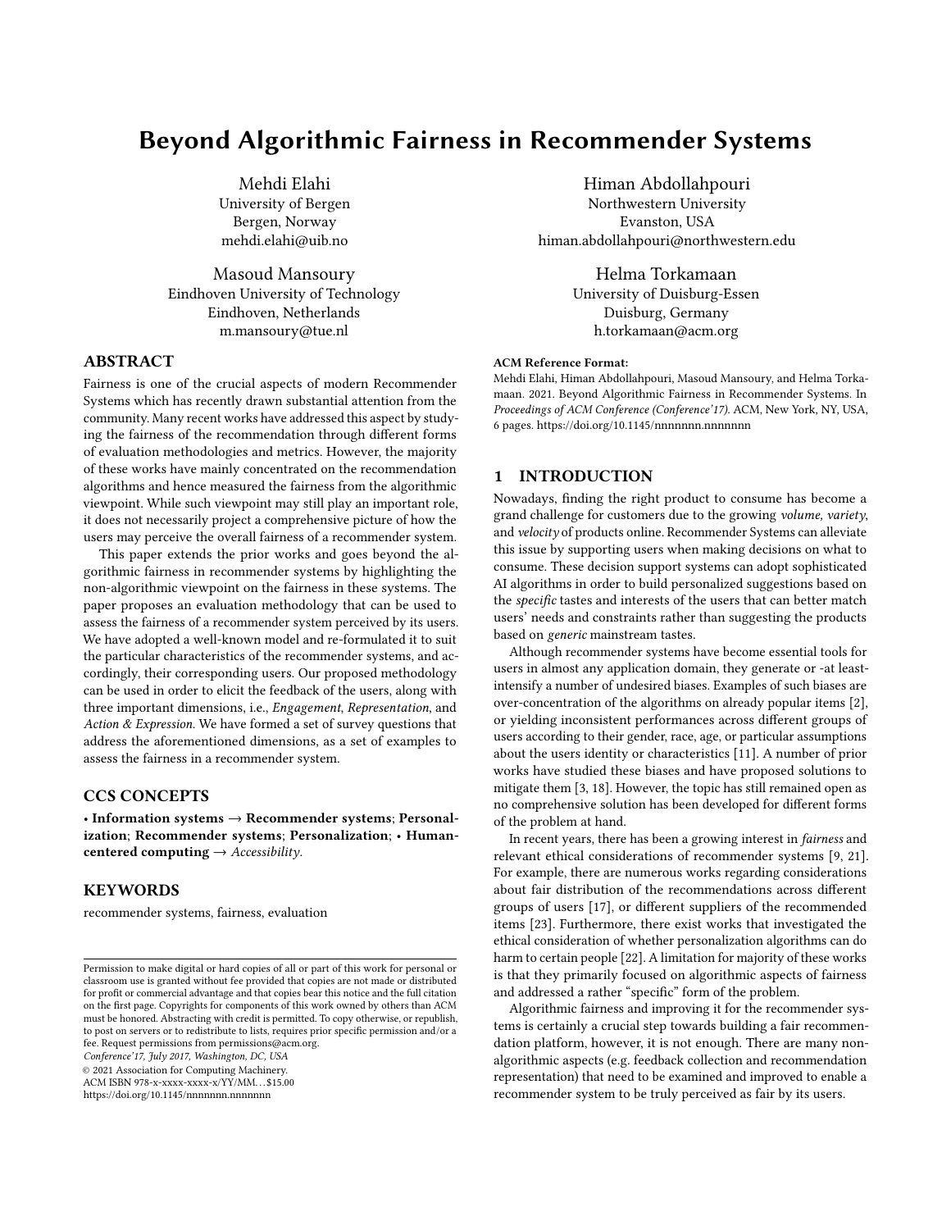## Beyond Algorithmic Fairness in Recommender Systems

Mehdi Elahi University of Bergen Bergen, Norway mehdi.elahi@uib.no

Masoud Mansoury Eindhoven University of Technology Eindhoven, Netherlands m.mansoury@tue.nl

### ABSTRACT

Fairness is one of the crucial aspects of modern Recommender Systems which has recently drawn substantial attention from the community. Many recent works have addressed this aspect by studying the fairness of the recommendation through different forms of evaluation methodologies and metrics. However, the majority of these works have mainly concentrated on the recommendation algorithms and hence measured the fairness from the algorithmic viewpoint. While such viewpoint may still play an important role, it does not necessarily project a comprehensive picture of how the users may perceive the overall fairness of a recommender system.

This paper extends the prior works and goes beyond the algorithmic fairness in recommender systems by highlighting the non-algorithmic viewpoint on the fairness in these systems. The paper proposes an evaluation methodology that can be used to assess the fairness of a recommender system perceived by its users. We have adopted a well-known model and re-formulated it to suit the particular characteristics of the recommender systems, and accordingly, their corresponding users. Our proposed methodology can be used in order to elicit the feedback of the users, along with three important dimensions, i.e., Engagement, Representation, and Action & Expression. We have formed a set of survey questions that address the aforementioned dimensions, as a set of examples to assess the fairness in a recommender system.

#### CCS CONCEPTS

• Information systems → Recommender systems; Personalization; Recommender systems; Personalization; • Humancentered computing  $\rightarrow$  Accessibility.

#### **KEYWORDS**

recommender systems, fairness, evaluation

Conference'17, July 2017, Washington, DC, USA

© 2021 Association for Computing Machinery.

ACM ISBN 978-x-xxxx-xxxx-x/YY/MM. . . \$15.00

<https://doi.org/10.1145/nnnnnnn.nnnnnnn>

Himan Abdollahpouri Northwestern University Evanston, USA himan.abdollahpouri@northwestern.edu

> Helma Torkamaan University of Duisburg-Essen Duisburg, Germany h.torkamaan@acm.org

#### ACM Reference Format:

Mehdi Elahi, Himan Abdollahpouri, Masoud Mansoury, and Helma Torkamaan. 2021. Beyond Algorithmic Fairness in Recommender Systems. In Proceedings of ACM Conference (Conference'17). ACM, New York, NY, USA, [6](#page-6-0) pages.<https://doi.org/10.1145/nnnnnnn.nnnnnnn>

#### 1 INTRODUCTION

Nowadays, finding the right product to consume has become a grand challenge for customers due to the growing volume, variety, and velocity of products online. Recommender Systems can alleviate this issue by supporting users when making decisions on what to consume. These decision support systems can adopt sophisticated AI algorithms in order to build personalized suggestions based on the specific tastes and interests of the users that can better match users' needs and constraints rather than suggesting the products based on generic mainstream tastes.

Although recommender systems have become essential tools for users in almost any application domain, they generate or -at leastintensify a number of undesired biases. Examples of such biases are over-concentration of the algorithms on already popular items [\[2\]](#page-4-0), or yielding inconsistent performances across different groups of users according to their gender, race, age, or particular assumptions about the users identity or characteristics [\[11\]](#page-5-0). A number of prior works have studied these biases and have proposed solutions to mitigate them [\[3,](#page-4-1) [18\]](#page-6-1). However, the topic has still remained open as no comprehensive solution has been developed for different forms of the problem at hand.

In recent years, there has been a growing interest in fairness and relevant ethical considerations of recommender systems [\[9,](#page-5-1) [21\]](#page-6-2). For example, there are numerous works regarding considerations about fair distribution of the recommendations across different groups of users [\[17\]](#page-6-3), or different suppliers of the recommended items [\[23\]](#page-6-4). Furthermore, there exist works that investigated the ethical consideration of whether personalization algorithms can do harm to certain people [\[22\]](#page-6-5). A limitation for majority of these works is that they primarily focused on algorithmic aspects of fairness and addressed a rather "specific" form of the problem.

Algorithmic fairness and improving it for the recommender systems is certainly a crucial step towards building a fair recommendation platform, however, it is not enough. There are many nonalgorithmic aspects (e.g. feedback collection and recommendation representation) that need to be examined and improved to enable a recommender system to be truly perceived as fair by its users.

Permission to make digital or hard copies of all or part of this work for personal or classroom use is granted without fee provided that copies are not made or distributed for profit or commercial advantage and that copies bear this notice and the full citation on the first page. Copyrights for components of this work owned by others than ACM must be honored. Abstracting with credit is permitted. To copy otherwise, or republish, to post on servers or to redistribute to lists, requires prior specific permission and/or a fee. Request permissions from permissions@acm.org.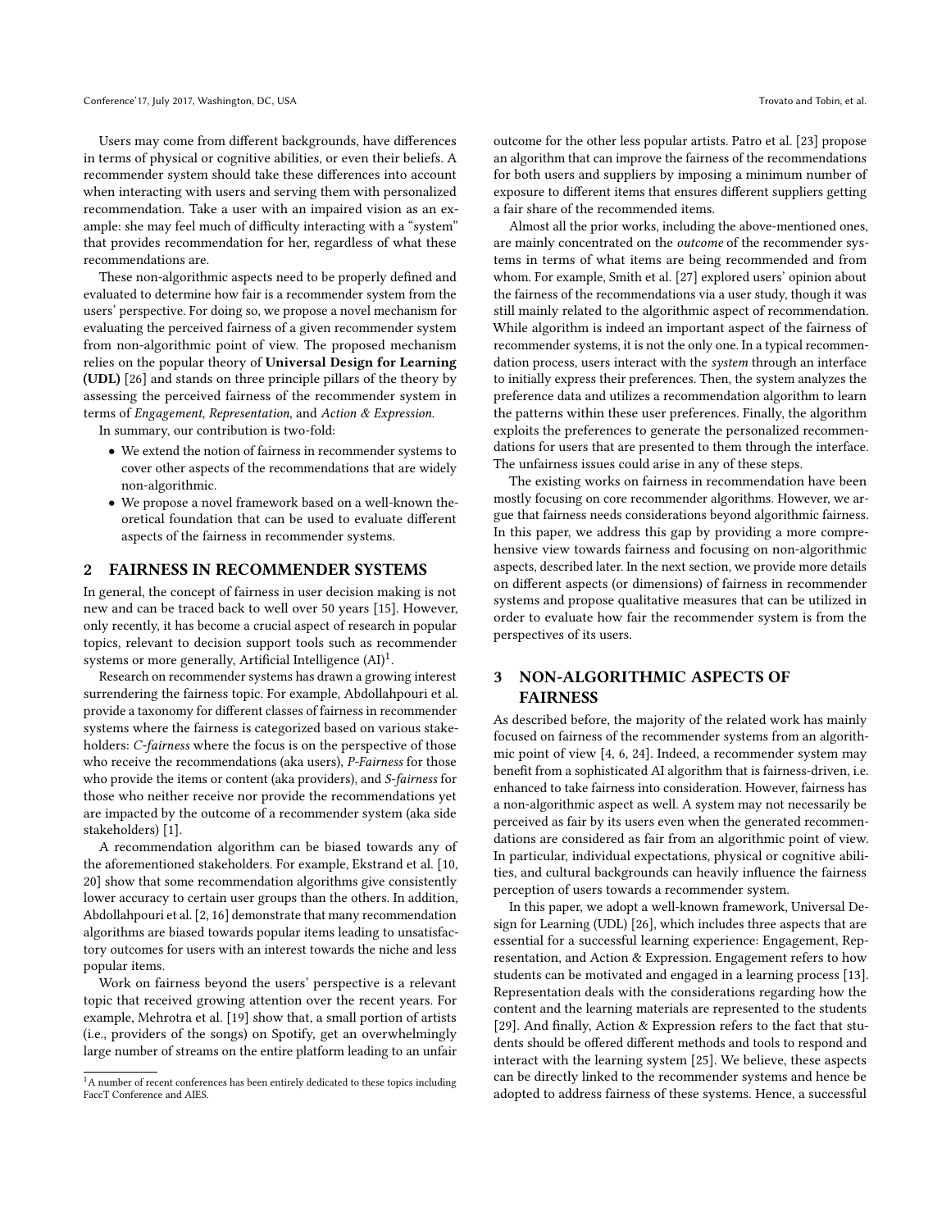Users may come from different backgrounds, have differences in terms of physical or cognitive abilities, or even their beliefs. A recommender system should take these differences into account when interacting with users and serving them with personalized recommendation. Take a user with an impaired vision as an example: she may feel much of difficulty interacting with a "system" that provides recommendation for her, regardless of what these recommendations are.

These non-algorithmic aspects need to be properly defined and evaluated to determine how fair is a recommender system from the users' perspective. For doing so, we propose a novel mechanism for evaluating the perceived fairness of a given recommender system from non-algorithmic point of view. The proposed mechanism relies on the popular theory of Universal Design for Learning (UDL) [\[26\]](#page-6-6) and stands on three principle pillars of the theory by assessing the perceived fairness of the recommender system in terms of Engagement, Representation, and Action & Expression.

In summary, our contribution is two-fold:

- We extend the notion of fairness in recommender systems to cover other aspects of the recommendations that are widely non-algorithmic.
- We propose a novel framework based on a well-known theoretical foundation that can be used to evaluate different aspects of the fairness in recommender systems.

#### 2 FAIRNESS IN RECOMMENDER SYSTEMS

In general, the concept of fairness in user decision making is not new and can be traced back to well over 50 years [\[15\]](#page-6-7). However, only recently, it has become a crucial aspect of research in popular topics, relevant to decision support tools such as recommender systems or more generally, Artificial Intelligence  $(AI)^1$  $(AI)^1$ .

Research on recommender systems has drawn a growing interest surrendering the fairness topic. For example, Abdollahpouri et al. provide a taxonomy for different classes of fairness in recommender systems where the fairness is categorized based on various stakeholders: C-fairness where the focus is on the perspective of those who receive the recommendations (aka users), P-Fairness for those who provide the items or content (aka providers), and S-fairness for those who neither receive nor provide the recommendations yet are impacted by the outcome of a recommender system (aka side stakeholders) [\[1\]](#page-4-2).

A recommendation algorithm can be biased towards any of the aforementioned stakeholders. For example, Ekstrand et al. [\[10,](#page-5-2) [20\]](#page-6-8) show that some recommendation algorithms give consistently lower accuracy to certain user groups than the others. In addition, Abdollahpouri et al. [\[2,](#page-4-0) [16\]](#page-6-9) demonstrate that many recommendation algorithms are biased towards popular items leading to unsatisfactory outcomes for users with an interest towards the niche and less popular items.

Work on fairness beyond the users' perspective is a relevant topic that received growing attention over the recent years. For example, Mehrotra et al. [\[19\]](#page-6-10) show that, a small portion of artists (i.e., providers of the songs) on Spotify, get an overwhelmingly large number of streams on the entire platform leading to an unfair outcome for the other less popular artists. Patro et al. [\[23\]](#page-6-4) propose an algorithm that can improve the fairness of the recommendations for both users and suppliers by imposing a minimum number of exposure to different items that ensures different suppliers getting a fair share of the recommended items.

Almost all the prior works, including the above-mentioned ones, are mainly concentrated on the outcome of the recommender systems in terms of what items are being recommended and from whom. For example, Smith et al. [\[27\]](#page-6-11) explored users' opinion about the fairness of the recommendations via a user study, though it was still mainly related to the algorithmic aspect of recommendation. While algorithm is indeed an important aspect of the fairness of recommender systems, it is not the only one. In a typical recommendation process, users interact with the system through an interface to initially express their preferences. Then, the system analyzes the preference data and utilizes a recommendation algorithm to learn the patterns within these user preferences. Finally, the algorithm exploits the preferences to generate the personalized recommendations for users that are presented to them through the interface. The unfairness issues could arise in any of these steps.

The existing works on fairness in recommendation have been mostly focusing on core recommender algorithms. However, we argue that fairness needs considerations beyond algorithmic fairness. In this paper, we address this gap by providing a more comprehensive view towards fairness and focusing on non-algorithmic aspects, described later. In the next section, we provide more details on different aspects (or dimensions) of fairness in recommender systems and propose qualitative measures that can be utilized in order to evaluate how fair the recommender system is from the perspectives of its users.

## 3 NON-ALGORITHMIC ASPECTS OF FAIRNESS

As described before, the majority of the related work has mainly focused on fairness of the recommender systems from an algorithmic point of view [\[4,](#page-4-3) [6,](#page-5-3) [24\]](#page-6-12). Indeed, a recommender system may benefit from a sophisticated AI algorithm that is fairness-driven, i.e. enhanced to take fairness into consideration. However, fairness has a non-algorithmic aspect as well. A system may not necessarily be perceived as fair by its users even when the generated recommendations are considered as fair from an algorithmic point of view. In particular, individual expectations, physical or cognitive abilities, and cultural backgrounds can heavily influence the fairness perception of users towards a recommender system.

In this paper, we adopt a well-known framework, Universal Design for Learning (UDL) [\[26\]](#page-6-6), which includes three aspects that are essential for a successful learning experience: Engagement, Representation, and Action & Expression. Engagement refers to how students can be motivated and engaged in a learning process [\[13\]](#page-6-13). Representation deals with the considerations regarding how the content and the learning materials are represented to the students [\[29\]](#page-6-14). And finally, Action & Expression refers to the fact that students should be offered different methods and tools to respond and interact with the learning system [\[25\]](#page-6-15). We believe, these aspects can be directly linked to the recommender systems and hence be adopted to address fairness of these systems. Hence, a successful

<span id="page-2-0"></span><sup>&</sup>lt;sup>1</sup>A number of recent conferences has been entirely dedicated to these topics including FaccT Conference and AIES.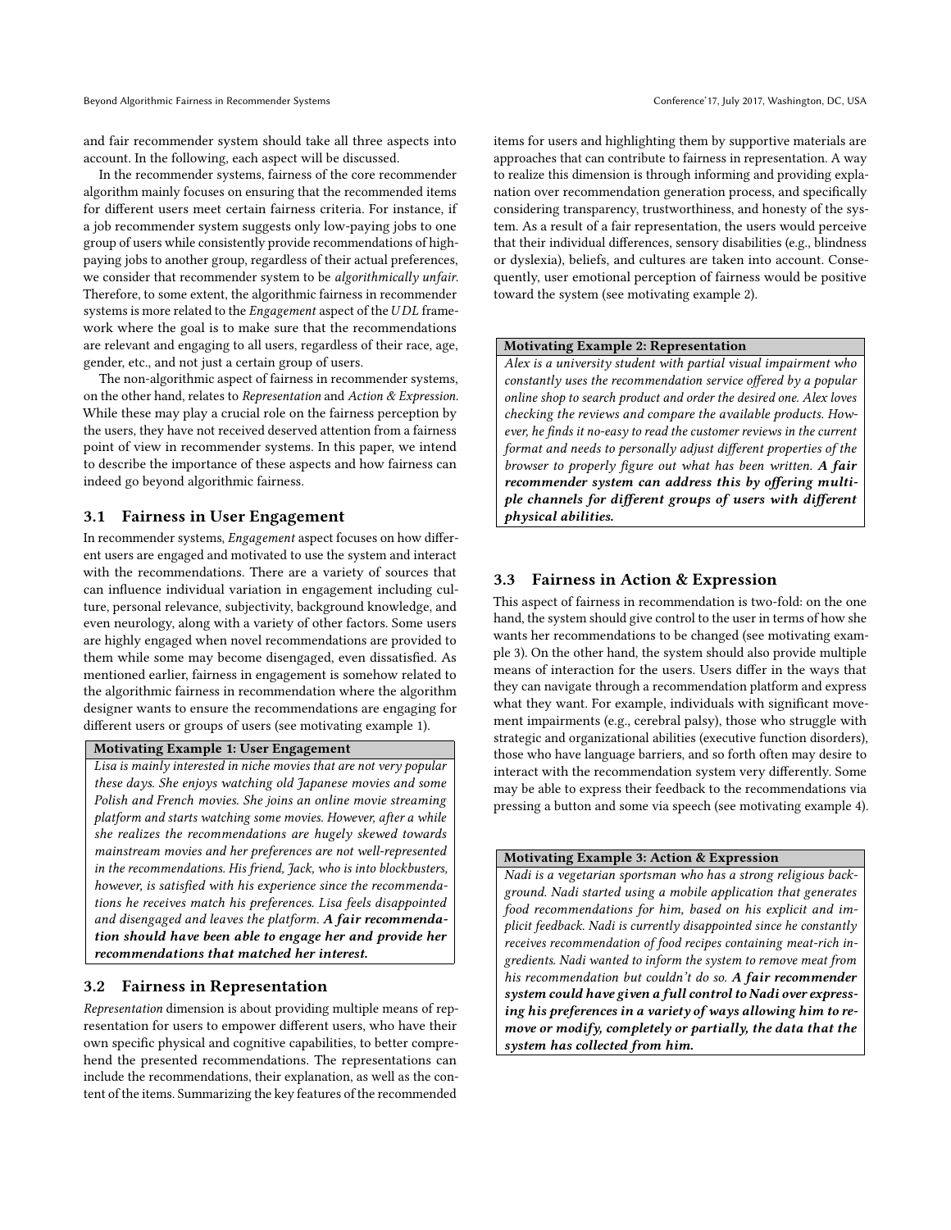and fair recommender system should take all three aspects into account. In the following, each aspect will be discussed.

In the recommender systems, fairness of the core recommender algorithm mainly focuses on ensuring that the recommended items for different users meet certain fairness criteria. For instance, if a job recommender system suggests only low-paying jobs to one group of users while consistently provide recommendations of highpaying jobs to another group, regardless of their actual preferences, we consider that recommender system to be algorithmically unfair. Therefore, to some extent, the algorithmic fairness in recommender systems is more related to the *Engagement* aspect of the UDL framework where the goal is to make sure that the recommendations are relevant and engaging to all users, regardless of their race, age, gender, etc., and not just a certain group of users.

The non-algorithmic aspect of fairness in recommender systems, on the other hand, relates to Representation and Action & Expression. While these may play a crucial role on the fairness perception by the users, they have not received deserved attention from a fairness point of view in recommender systems. In this paper, we intend to describe the importance of these aspects and how fairness can indeed go beyond algorithmic fairness.

#### 3.1 Fairness in User Engagement

In recommender systems, Engagement aspect focuses on how different users are engaged and motivated to use the system and interact with the recommendations. There are a variety of sources that can influence individual variation in engagement including culture, personal relevance, subjectivity, background knowledge, and even neurology, along with a variety of other factors. Some users are highly engaged when novel recommendations are provided to them while some may become disengaged, even dissatisfied. As mentioned earlier, fairness in engagement is somehow related to the algorithmic fairness in recommendation where the algorithm designer wants to ensure the recommendations are engaging for different users or groups of users (see motivating example 1).

#### Motivating Example 1: User Engagement

Lisa is mainly interested in niche movies that are not very popular these days. She enjoys watching old Japanese movies and some Polish and French movies. She joins an online movie streaming platform and starts watching some movies. However, after a while she realizes the recommendations are hugely skewed towards mainstream movies and her preferences are not well-represented in the recommendations. His friend, Jack, who is into blockbusters, however, is satisfied with his experience since the recommendations he receives match his preferences. Lisa feels disappointed and disengaged and leaves the platform. A fair recommendation should have been able to engage her and provide her recommendations that matched her interest.

#### 3.2 Fairness in Representation

Representation dimension is about providing multiple means of representation for users to empower different users, who have their own specific physical and cognitive capabilities, to better comprehend the presented recommendations. The representations can include the recommendations, their explanation, as well as the content of the items. Summarizing the key features of the recommended

items for users and highlighting them by supportive materials are approaches that can contribute to fairness in representation. A way to realize this dimension is through informing and providing explanation over recommendation generation process, and specifically considering transparency, trustworthiness, and honesty of the system. As a result of a fair representation, the users would perceive that their individual differences, sensory disabilities (e.g., blindness or dyslexia), beliefs, and cultures are taken into account. Consequently, user emotional perception of fairness would be positive toward the system (see motivating example 2).

#### Motivating Example 2: Representation

Alex is a university student with partial visual impairment who constantly uses the recommendation service offered by a popular online shop to search product and order the desired one. Alex loves checking the reviews and compare the available products. However, he finds it no-easy to read the customer reviews in the current format and needs to personally adjust different properties of the browser to properly figure out what has been written. A fair recommender system can address this by offering multiple channels for different groups of users with different physical abilities.

### 3.3 Fairness in Action & Expression

This aspect of fairness in recommendation is two-fold: on the one hand, the system should give control to the user in terms of how she wants her recommendations to be changed (see motivating example 3). On the other hand, the system should also provide multiple means of interaction for the users. Users differ in the ways that they can navigate through a recommendation platform and express what they want. For example, individuals with significant movement impairments (e.g., cerebral palsy), those who struggle with strategic and organizational abilities (executive function disorders), those who have language barriers, and so forth often may desire to interact with the recommendation system very differently. Some may be able to express their feedback to the recommendations via pressing a button and some via speech (see motivating example 4).

### Motivating Example 3: Action & Expression

Nadi is a vegetarian sportsman who has a strong religious background. Nadi started using a mobile application that generates food recommendations for him, based on his explicit and implicit feedback. Nadi is currently disappointed since he constantly receives recommendation of food recipes containing meat-rich ingredients. Nadi wanted to inform the system to remove meat from his recommendation but couldn't do so. A fair recommender system could have given a full control to Nadi over expressing his preferences in a variety of ways allowing him to remove or modify, completely or partially, the data that the system has collected from him.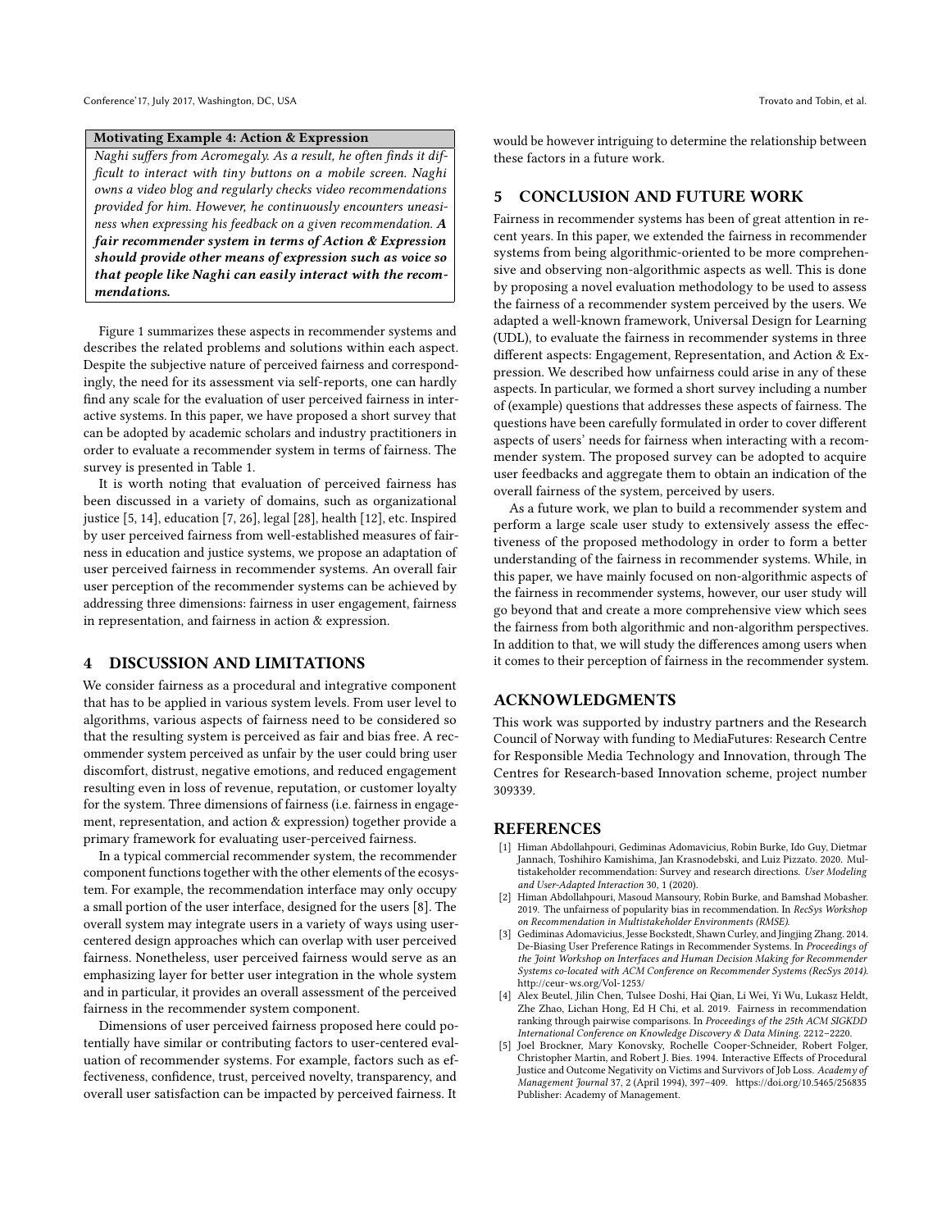#### Motivating Example 4: Action & Expression

Naghi suffers from Acromegaly. As a result, he often finds it difficult to interact with tiny buttons on a mobile screen. Naghi owns a video blog and regularly checks video recommendations provided for him. However, he continuously encounters uneasiness when expressing his feedback on a given recommendation. A fair recommender system in terms of Action & Expression should provide other means of expression such as voice so that people like Naghi can easily interact with the recommendations.

Figure [1](#page-5-4) summarizes these aspects in recommender systems and describes the related problems and solutions within each aspect. Despite the subjective nature of perceived fairness and correspondingly, the need for its assessment via self-reports, one can hardly find any scale for the evaluation of user perceived fairness in interactive systems. In this paper, we have proposed a short survey that can be adopted by academic scholars and industry practitioners in order to evaluate a recommender system in terms of fairness. The survey is presented in Table [1.](#page-5-5)

It is worth noting that evaluation of perceived fairness has been discussed in a variety of domains, such as organizational justice [\[5,](#page-4-4) [14\]](#page-6-16), education [\[7,](#page-5-6) [26\]](#page-6-6), legal [\[28\]](#page-6-17), health [\[12\]](#page-6-18), etc. Inspired by user perceived fairness from well-established measures of fairness in education and justice systems, we propose an adaptation of user perceived fairness in recommender systems. An overall fair user perception of the recommender systems can be achieved by addressing three dimensions: fairness in user engagement, fairness in representation, and fairness in action & expression.

#### 4 DISCUSSION AND LIMITATIONS

We consider fairness as a procedural and integrative component that has to be applied in various system levels. From user level to algorithms, various aspects of fairness need to be considered so that the resulting system is perceived as fair and bias free. A recommender system perceived as unfair by the user could bring user discomfort, distrust, negative emotions, and reduced engagement resulting even in loss of revenue, reputation, or customer loyalty for the system. Three dimensions of fairness (i.e. fairness in engagement, representation, and action & expression) together provide a primary framework for evaluating user-perceived fairness.

In a typical commercial recommender system, the recommender component functions together with the other elements of the ecosystem. For example, the recommendation interface may only occupy a small portion of the user interface, designed for the users [\[8\]](#page-5-7). The overall system may integrate users in a variety of ways using usercentered design approaches which can overlap with user perceived fairness. Nonetheless, user perceived fairness would serve as an emphasizing layer for better user integration in the whole system and in particular, it provides an overall assessment of the perceived fairness in the recommender system component.

Dimensions of user perceived fairness proposed here could potentially have similar or contributing factors to user-centered evaluation of recommender systems. For example, factors such as effectiveness, confidence, trust, perceived novelty, transparency, and overall user satisfaction can be impacted by perceived fairness. It

would be however intriguing to determine the relationship between these factors in a future work.

#### 5 CONCLUSION AND FUTURE WORK

Fairness in recommender systems has been of great attention in recent years. In this paper, we extended the fairness in recommender systems from being algorithmic-oriented to be more comprehensive and observing non-algorithmic aspects as well. This is done by proposing a novel evaluation methodology to be used to assess the fairness of a recommender system perceived by the users. We adapted a well-known framework, Universal Design for Learning (UDL), to evaluate the fairness in recommender systems in three different aspects: Engagement, Representation, and Action & Expression. We described how unfairness could arise in any of these aspects. In particular, we formed a short survey including a number of (example) questions that addresses these aspects of fairness. The questions have been carefully formulated in order to cover different aspects of users' needs for fairness when interacting with a recommender system. The proposed survey can be adopted to acquire user feedbacks and aggregate them to obtain an indication of the overall fairness of the system, perceived by users.

As a future work, we plan to build a recommender system and perform a large scale user study to extensively assess the effectiveness of the proposed methodology in order to form a better understanding of the fairness in recommender systems. While, in this paper, we have mainly focused on non-algorithmic aspects of the fairness in recommender systems, however, our user study will go beyond that and create a more comprehensive view which sees the fairness from both algorithmic and non-algorithm perspectives. In addition to that, we will study the differences among users when it comes to their perception of fairness in the recommender system.

#### ACKNOWLEDGMENTS

This work was supported by industry partners and the Research Council of Norway with funding to MediaFutures: Research Centre for Responsible Media Technology and Innovation, through The Centres for Research-based Innovation scheme, project number 309339.

#### **REFERENCES**

- <span id="page-4-2"></span>[1] Himan Abdollahpouri, Gediminas Adomavicius, Robin Burke, Ido Guy, Dietmar Jannach, Toshihiro Kamishima, Jan Krasnodebski, and Luiz Pizzato. 2020. Multistakeholder recommendation: Survey and research directions. User Modeling and User-Adapted Interaction 30, 1 (2020).
- <span id="page-4-0"></span>[2] Himan Abdollahpouri, Masoud Mansoury, Robin Burke, and Bamshad Mobasher. 2019. The unfairness of popularity bias in recommendation. In RecSys Workshop on Recommendation in Multistakeholder Environments (RMSE).
- <span id="page-4-1"></span>[3] Gediminas Adomavicius, Jesse Bockstedt, Shawn Curley, and Jingjing Zhang. 2014. De-Biasing User Preference Ratings in Recommender Systems. In Proceedings of the Joint Workshop on Interfaces and Human Decision Making for Recommender Systems co-located with ACM Conference on Recommender Systems (RecSys 2014). <http://ceur-ws.org/Vol-1253/>
- <span id="page-4-3"></span>[4] Alex Beutel, Jilin Chen, Tulsee Doshi, Hai Qian, Li Wei, Yi Wu, Lukasz Heldt, Zhe Zhao, Lichan Hong, Ed H Chi, et al. 2019. Fairness in recommendation ranking through pairwise comparisons. In Proceedings of the 25th ACM SIGKDD International Conference on Knowledge Discovery & Data Mining. 2212–2220.
- <span id="page-4-4"></span>[5] Joel Brockner, Mary Konovsky, Rochelle Cooper-Schneider, Robert Folger, Christopher Martin, and Robert J. Bies. 1994. Interactive Effects of Procedural Justice and Outcome Negativity on Victims and Survivors of Job Loss. Academy of Management Journal 37, 2 (April 1994), 397–409.<https://doi.org/10.5465/256835> Publisher: Academy of Management.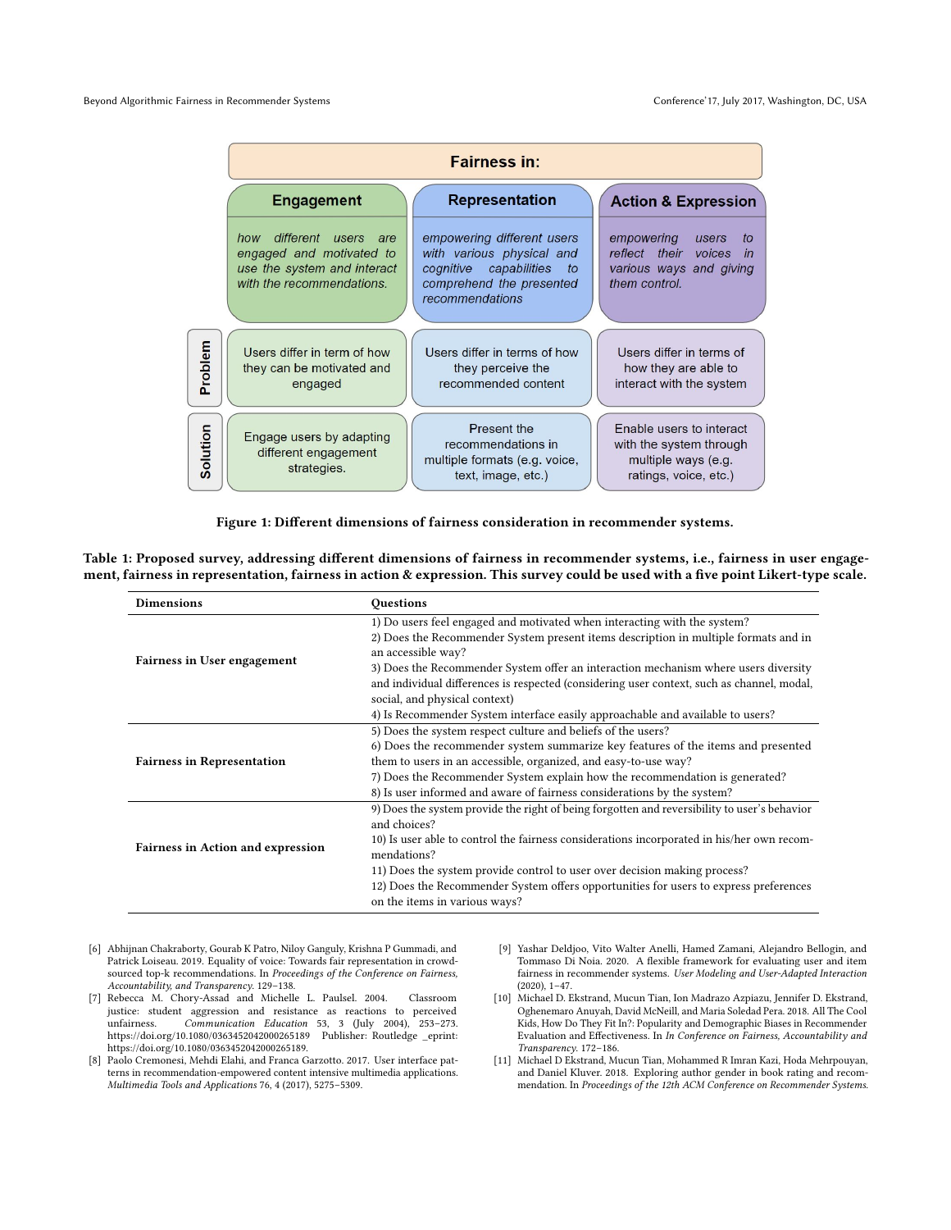<span id="page-5-4"></span>

|          | <b>Fairness in:</b>                                                                                                   |                                                                                                                                        |                                                                                                        |  |  |
|----------|-----------------------------------------------------------------------------------------------------------------------|----------------------------------------------------------------------------------------------------------------------------------------|--------------------------------------------------------------------------------------------------------|--|--|
|          | <b>Engagement</b>                                                                                                     | <b>Representation</b>                                                                                                                  | <b>Action &amp; Expression</b>                                                                         |  |  |
|          | different users<br>how<br>are<br>engaged and motivated to<br>use the system and interact<br>with the recommendations. | empowering different users<br>with various physical and<br>cognitive capabilities<br>to<br>comprehend the presented<br>recommendations | empowering<br>users<br>to<br>reflect their<br>voices<br>in<br>various ways and giving<br>them control. |  |  |
| Problem  | Users differ in term of how<br>they can be motivated and<br>engaged                                                   | Users differ in terms of how<br>they perceive the<br>recommended content                                                               | Users differ in terms of<br>how they are able to<br>interact with the system                           |  |  |
| Solution | Engage users by adapting<br>different engagement<br>strategies.                                                       | Present the<br>recommendations in<br>multiple formats (e.g. voice,<br>text, image, etc.)                                               | Enable users to interact<br>with the system through<br>multiple ways (e.g.<br>ratings, voice, etc.)    |  |  |

Figure 1: Different dimensions of fairness consideration in recommender systems.

<span id="page-5-5"></span>Table 1: Proposed survey, addressing different dimensions of fairness in recommender systems, i.e., fairness in user engagement, fairness in representation, fairness in action & expression. This survey could be used with a five point Likert-type scale.

| <b>Dimensions</b>                        | Questions                                                                                    |  |  |
|------------------------------------------|----------------------------------------------------------------------------------------------|--|--|
|                                          | 1) Do users feel engaged and motivated when interacting with the system?                     |  |  |
|                                          | 2) Does the Recommender System present items description in multiple formats and in          |  |  |
| Fairness in User engagement              | an accessible way?                                                                           |  |  |
|                                          | 3) Does the Recommender System offer an interaction mechanism where users diversity          |  |  |
|                                          | and individual differences is respected (considering user context, such as channel, modal,   |  |  |
|                                          | social, and physical context)                                                                |  |  |
|                                          | 4) Is Recommender System interface easily approachable and available to users?               |  |  |
|                                          | 5) Does the system respect culture and beliefs of the users?                                 |  |  |
|                                          | 6) Does the recommender system summarize key features of the items and presented             |  |  |
| <b>Fairness in Representation</b>        | them to users in an accessible, organized, and easy-to-use way?                              |  |  |
|                                          | 7) Does the Recommender System explain how the recommendation is generated?                  |  |  |
|                                          | 8) Is user informed and aware of fairness considerations by the system?                      |  |  |
|                                          | 9) Does the system provide the right of being forgotten and reversibility to user's behavior |  |  |
|                                          | and choices?                                                                                 |  |  |
|                                          | 10) Is user able to control the fairness considerations incorporated in his/her own recom-   |  |  |
| <b>Fairness in Action and expression</b> | mendations?                                                                                  |  |  |
|                                          | 11) Does the system provide control to user over decision making process?                    |  |  |
|                                          | 12) Does the Recommender System offers opportunities for users to express preferences        |  |  |
|                                          | on the items in various ways?                                                                |  |  |

- <span id="page-5-3"></span>[6] Abhijnan Chakraborty, Gourab K Patro, Niloy Ganguly, Krishna P Gummadi, and Patrick Loiseau. 2019. Equality of voice: Towards fair representation in crowdsourced top-k recommendations. In Proceedings of the Conference on Fairness, Accountability, and Transparency. 129–138.
- <span id="page-5-6"></span>[7] Rebecca M. Chory-Assad and Michelle L. Paulsel. 2004. Classroom justice: student aggression and resistance as reactions to perceived unfairness. Communication Education 53, 3 (July 2004), 253–273. <https://doi.org/10.1080/0363452042000265189> Publisher: Routledge \_eprint: https://doi.org/10.1080/0363452042000265189.
- <span id="page-5-7"></span>[8] Paolo Cremonesi, Mehdi Elahi, and Franca Garzotto. 2017. User interface patterns in recommendation-empowered content intensive multimedia applications. Multimedia Tools and Applications 76, 4 (2017), 5275–5309.
- <span id="page-5-1"></span>[9] Yashar Deldjoo, Vito Walter Anelli, Hamed Zamani, Alejandro Bellogin, and Tommaso Di Noia. 2020. A flexible framework for evaluating user and item fairness in recommender systems. User Modeling and User-Adapted Interaction (2020), 1–47.
- <span id="page-5-2"></span>[10] Michael D. Ekstrand, Mucun Tian, Ion Madrazo Azpiazu, Jennifer D. Ekstrand, Oghenemaro Anuyah, David McNeill, and Maria Soledad Pera. 2018. All The Cool Kids, How Do They Fit In?: Popularity and Demographic Biases in Recommender Evaluation and Effectiveness. In In Conference on Fairness, Accountability and Transparency. 172–186.
- <span id="page-5-0"></span>[11] Michael D Ekstrand, Mucun Tian, Mohammed R Imran Kazi, Hoda Mehrpouyan, and Daniel Kluver. 2018. Exploring author gender in book rating and recommendation. In Proceedings of the 12th ACM Conference on Recommender Systems.